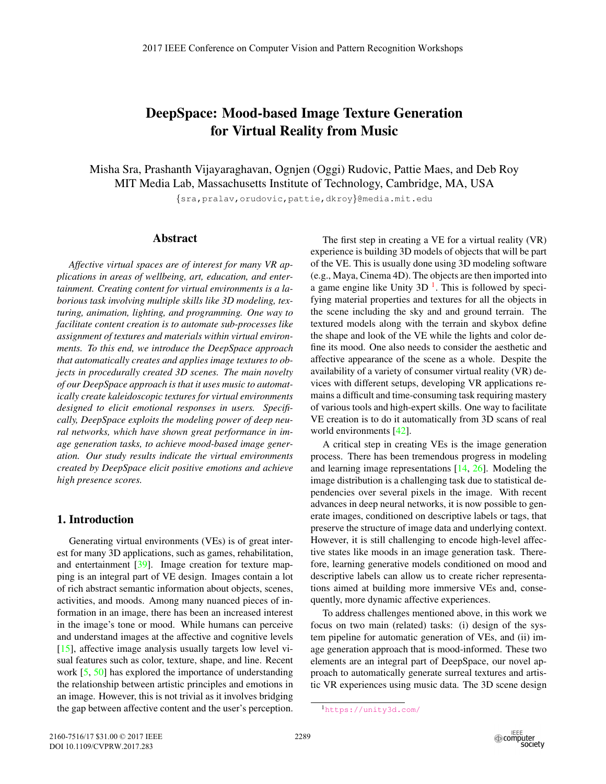# DeepSpace: Mood-based Image Texture Generation for Virtual Reality from Music

Misha Sra, Prashanth Vijayaraghavan, Ognjen (Oggi) Rudovic, Pattie Maes, and Deb Roy MIT Media Lab, Massachusetts Institute of Technology, Cambridge, MA, USA

{sra,pralav,orudovic,pattie,dkroy}@media.mit.edu

## Abstract

*Affective virtual spaces are of interest for many VR applications in areas of wellbeing, art, education, and entertainment. Creating content for virtual environments is a laborious task involving multiple skills like 3D modeling, texturing, animation, lighting, and programming. One way to facilitate content creation is to automate sub-processes like assignment of textures and materials within virtual environments. To this end, we introduce the DeepSpace approach that automatically creates and applies image textures to objects in procedurally created 3D scenes. The main novelty of our DeepSpace approach is that it uses music to automatically create kaleidoscopic textures for virtual environments designed to elicit emotional responses in users. Specifically, DeepSpace exploits the modeling power of deep neural networks, which have shown great performance in image generation tasks, to achieve mood-based image generation. Our study results indicate the virtual environments created by DeepSpace elicit positive emotions and achieve high presence scores.*

# 1. Introduction

Generating virtual environments (VEs) is of great interest for many 3D applications, such as games, rehabilitation, and entertainment [39]. Image creation for texture mapping is an integral part of VE design. Images contain a lot of rich abstract semantic information about objects, scenes, activities, and moods. Among many nuanced pieces of information in an image, there has been an increased interest in the image's tone or mood. While humans can perceive and understand images at the affective and cognitive levels [15], affective image analysis usually targets low level visual features such as color, texture, shape, and line. Recent work [5, 50] has explored the importance of understanding the relationship between artistic principles and emotions in an image. However, this is not trivial as it involves bridging the gap between affective content and the user's perception.

The first step in creating a VE for a virtual reality (VR) experience is building 3D models of objects that will be part of the VE. This is usually done using 3D modeling software (e.g., Maya, Cinema 4D). The objects are then imported into a game engine like Unity  $3D<sup>1</sup>$ . This is followed by specifying material properties and textures for all the objects in the scene including the sky and and ground terrain. The textured models along with the terrain and skybox define the shape and look of the VE while the lights and color define its mood. One also needs to consider the aesthetic and affective appearance of the scene as a whole. Despite the availability of a variety of consumer virtual reality (VR) devices with different setups, developing VR applications remains a difficult and time-consuming task requiring mastery of various tools and high-expert skills. One way to facilitate VE creation is to do it automatically from 3D scans of real world environments [42].

A critical step in creating VEs is the image generation process. There has been tremendous progress in modeling and learning image representations [14, 26]. Modeling the image distribution is a challenging task due to statistical dependencies over several pixels in the image. With recent advances in deep neural networks, it is now possible to generate images, conditioned on descriptive labels or tags, that preserve the structure of image data and underlying context. However, it is still challenging to encode high-level affective states like moods in an image generation task. Therefore, learning generative models conditioned on mood and descriptive labels can allow us to create richer representations aimed at building more immersive VEs and, consequently, more dynamic affective experiences.

To address challenges mentioned above, in this work we focus on two main (related) tasks: (i) design of the system pipeline for automatic generation of VEs, and (ii) image generation approach that is mood-informed. These two elements are an integral part of DeepSpace, our novel approach to automatically generate surreal textures and artistic VR experiences using music data. The 3D scene design

<sup>1</sup>https://unity3d.com/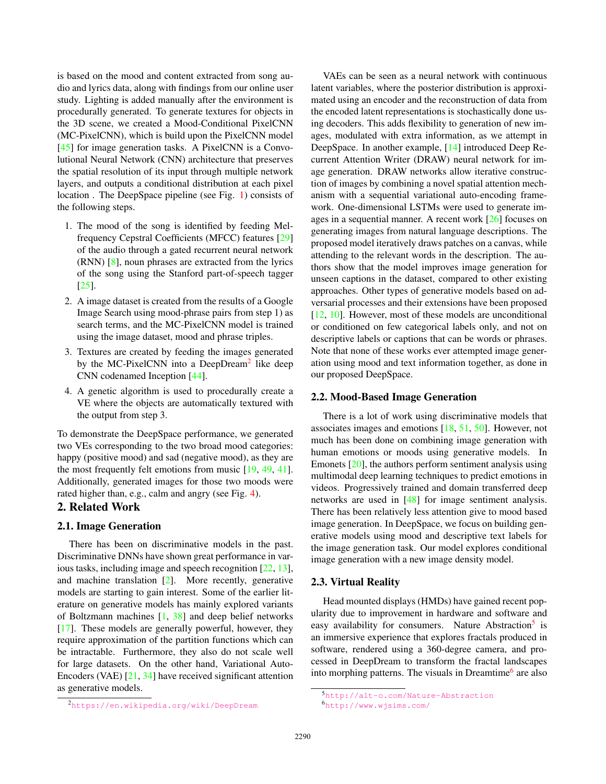is based on the mood and content extracted from song audio and lyrics data, along with findings from our online user study. Lighting is added manually after the environment is procedurally generated. To generate textures for objects in the 3D scene, we created a Mood-Conditional PixelCNN (MC-PixelCNN), which is build upon the PixelCNN model [45] for image generation tasks. A PixelCNN is a Convolutional Neural Network (CNN) architecture that preserves the spatial resolution of its input through multiple network layers, and outputs a conditional distribution at each pixel location . The DeepSpace pipeline (see Fig. 1) consists of the following steps.

- 1. The mood of the song is identified by feeding Melfrequency Cepstral Coefficients (MFCC) features [29] of the audio through a gated recurrent neural network (RNN) [8], noun phrases are extracted from the lyrics of the song using the Stanford part-of-speech tagger [25].
- 2. A image dataset is created from the results of a Google Image Search using mood-phrase pairs from step 1) as search terms, and the MC-PixelCNN model is trained using the image dataset, mood and phrase triples.
- 3. Textures are created by feeding the images generated by the MC-PixelCNN into a DeepDream<sup>2</sup> like deep CNN codenamed Inception [44].
- 4. A genetic algorithm is used to procedurally create a VE where the objects are automatically textured with the output from step 3.

To demonstrate the DeepSpace performance, we generated two VEs corresponding to the two broad mood categories: happy (positive mood) and sad (negative mood), as they are the most frequently felt emotions from music [19, 49, 41]. Additionally, generated images for those two moods were rated higher than, e.g., calm and angry (see Fig. 4).

# 2. Related Work

### 2.1. Image Generation

There has been on discriminative models in the past. Discriminative DNNs have shown great performance in various tasks, including image and speech recognition [22, 13], and machine translation [2]. More recently, generative models are starting to gain interest. Some of the earlier literature on generative models has mainly explored variants of Boltzmann machines  $[1, 38]$  and deep belief networks [17]. These models are generally powerful, however, they require approximation of the partition functions which can be intractable. Furthermore, they also do not scale well for large datasets. On the other hand, Variational Auto-Encoders (VAE) [21, 34] have received significant attention as generative models.

VAEs can be seen as a neural network with continuous latent variables, where the posterior distribution is approximated using an encoder and the reconstruction of data from the encoded latent representations is stochastically done using decoders. This adds flexibility to generation of new images, modulated with extra information, as we attempt in DeepSpace. In another example, [14] introduced Deep Recurrent Attention Writer (DRAW) neural network for image generation. DRAW networks allow iterative construction of images by combining a novel spatial attention mechanism with a sequential variational auto-encoding framework. One-dimensional LSTMs were used to generate images in a sequential manner. A recent work [26] focuses on generating images from natural language descriptions. The proposed model iteratively draws patches on a canvas, while attending to the relevant words in the description. The authors show that the model improves image generation for unseen captions in the dataset, compared to other existing approaches. Other types of generative models based on adversarial processes and their extensions have been proposed [12, 10]. However, most of these models are unconditional or conditioned on few categorical labels only, and not on descriptive labels or captions that can be words or phrases. Note that none of these works ever attempted image generation using mood and text information together, as done in our proposed DeepSpace.

# 2.2. Mood-Based Image Generation

There is a lot of work using discriminative models that associates images and emotions [18, 51, 50]. However, not much has been done on combining image generation with human emotions or moods using generative models. In Emonets [20], the authors perform sentiment analysis using multimodal deep learning techniques to predict emotions in videos. Progressively trained and domain transferred deep networks are used in [48] for image sentiment analysis. There has been relatively less attention give to mood based image generation. In DeepSpace, we focus on building generative models using mood and descriptive text labels for the image generation task. Our model explores conditional image generation with a new image density model.

#### 2.3. Virtual Reality

Head mounted displays (HMDs) have gained recent popularity due to improvement in hardware and software and easy availability for consumers. Nature Abstraction<sup>5</sup> is an immersive experience that explores fractals produced in software, rendered using a 360-degree camera, and processed in DeepDream to transform the fractal landscapes into morphing patterns. The visuals in Dreamtime<sup>6</sup> are also

<sup>&</sup>lt;sup>2</sup>https://en.wikipedia.org/wiki/DeepDream

<sup>5</sup>http://alt-o.com/Nature-Abstraction

<sup>6</sup>http://www.wjsims.com/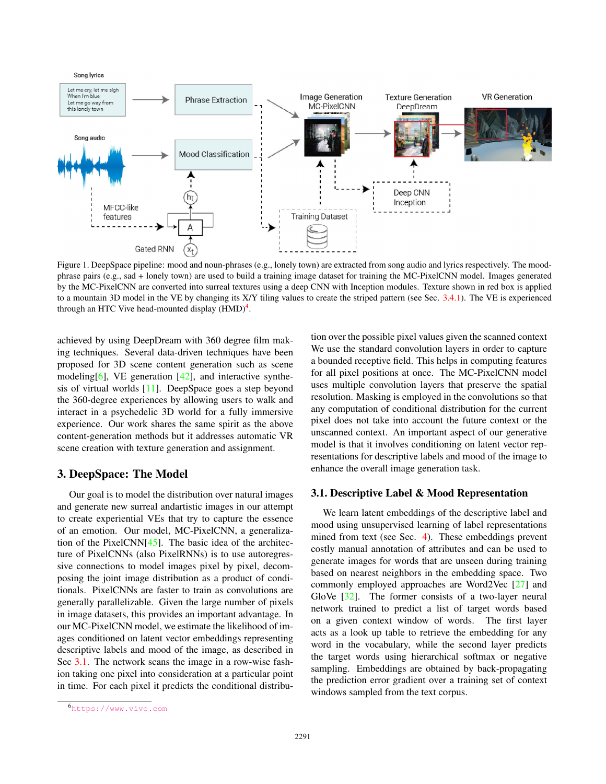

Figure 1. DeepSpace pipeline: mood and noun-phrases (e.g., lonely town) are extracted from song audio and lyrics respectively. The moodphrase pairs (e.g., sad + lonely town) are used to build a training image dataset for training the MC-PixelCNN model. Images generated by the MC-PixelCNN are converted into surreal textures using a deep CNN with Inception modules. Texture shown in red box is applied to a mountain 3D model in the VE by changing its X/Y tiling values to create the striped pattern (see Sec. 3.4.1). The VE is experienced through an HTC Vive head-mounted display  $(HMD)^4$ .

achieved by using DeepDream with 360 degree film making techniques. Several data-driven techniques have been proposed for 3D scene content generation such as scene modeling $[6]$ , VE generation  $[42]$ , and interactive synthesis of virtual worlds [11]. DeepSpace goes a step beyond the 360-degree experiences by allowing users to walk and interact in a psychedelic 3D world for a fully immersive experience. Our work shares the same spirit as the above content-generation methods but it addresses automatic VR scene creation with texture generation and assignment.

# 3. DeepSpace: The Model

Our goal is to model the distribution over natural images and generate new surreal andartistic images in our attempt to create experiential VEs that try to capture the essence of an emotion. Our model, MC-PixelCNN, a generalization of the PixelCNN $[45]$ . The basic idea of the architecture of PixelCNNs (also PixelRNNs) is to use autoregressive connections to model images pixel by pixel, decomposing the joint image distribution as a product of conditionals. PixelCNNs are faster to train as convolutions are generally parallelizable. Given the large number of pixels in image datasets, this provides an important advantage. In our MC-PixelCNN model, we estimate the likelihood of images conditioned on latent vector embeddings representing descriptive labels and mood of the image, as described in Sec 3.1. The network scans the image in a row-wise fashion taking one pixel into consideration at a particular point in time. For each pixel it predicts the conditional distribution over the possible pixel values given the scanned context We use the standard convolution layers in order to capture a bounded receptive field. This helps in computing features for all pixel positions at once. The MC-PixelCNN model uses multiple convolution layers that preserve the spatial resolution. Masking is employed in the convolutions so that any computation of conditional distribution for the current pixel does not take into account the future context or the unscanned context. An important aspect of our generative model is that it involves conditioning on latent vector representations for descriptive labels and mood of the image to enhance the overall image generation task.

### 3.1. Descriptive Label & Mood Representation

We learn latent embeddings of the descriptive label and mood using unsupervised learning of label representations mined from text (see Sec. 4). These embeddings prevent costly manual annotation of attributes and can be used to generate images for words that are unseen during training based on nearest neighbors in the embedding space. Two commonly employed approaches are Word2Vec [27] and GloVe [32]. The former consists of a two-layer neural network trained to predict a list of target words based on a given context window of words. The first layer acts as a look up table to retrieve the embedding for any word in the vocabulary, while the second layer predicts the target words using hierarchical softmax or negative sampling. Embeddings are obtained by back-propagating the prediction error gradient over a training set of context windows sampled from the text corpus.

<sup>6</sup>https://www.vive.com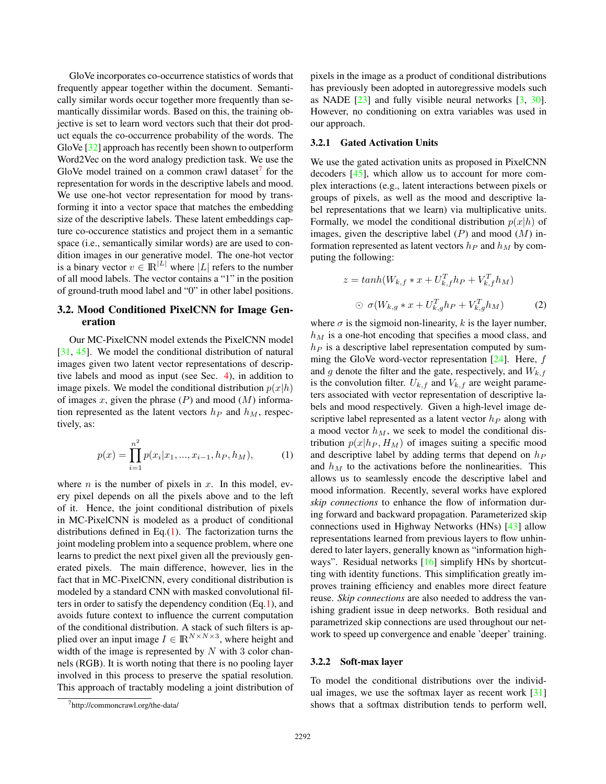GloVe incorporates co-occurrence statistics of words that frequently appear together within the document. Semantically similar words occur together more frequently than semantically dissimilar words. Based on this, the training objective is set to learn word vectors such that their dot product equals the co-occurrence probability of the words. The GloVe [32] approach has recently been shown to outperform Word2Vec on the word analogy prediction task. We use the GloVe model trained on a common crawl dataset<sup> $\prime$ </sup> for the representation for words in the descriptive labels and mood. We use one-hot vector representation for mood by transforming it into a vector space that matches the embedding size of the descriptive labels. These latent embeddings capture co-occurence statistics and project them in a semantic space (i.e., semantically similar words) are are used to condition images in our generative model. The one-hot vector is a binary vector  $v \in \mathbb{R}^{|L|}$  where |L| refers to the number of all mood labels. The vector contains a "1" in the position of ground-truth mood label and "0" in other label positions.

# 3.2. Mood Conditioned PixelCNN for Image Generation

Our MC-PixelCNN model extends the PixelCNN model [31, 45]. We model the conditional distribution of natural images given two latent vector representations of descriptive labels and mood as input (see Sec. 4), in addition to image pixels. We model the conditional distribution  $p(x|h)$ of images x, given the phrase  $(P)$  and mood  $(M)$  information represented as the latent vectors  $h_P$  and  $h_M$ , respectively, as:

$$
p(x) = \prod_{i=1}^{n^2} p(x_i | x_1, ..., x_{i-1}, h_P, h_M),
$$
 (1)

where  $n$  is the number of pixels in  $x$ . In this model, every pixel depends on all the pixels above and to the left of it. Hence, the joint conditional distribution of pixels in MC-PixelCNN is modeled as a product of conditional distributions defined in Eq. $(1)$ . The factorization turns the joint modeling problem into a sequence problem, where one learns to predict the next pixel given all the previously generated pixels. The main difference, however, lies in the fact that in MC-PixelCNN, every conditional distribution is modeled by a standard CNN with masked convolutional filters in order to satisfy the dependency condition (Eq.1), and avoids future context to influence the current computation of the conditional distribution. A stack of such filters is applied over an input image  $I \in \mathbb{R}^{N \times N \times 3}$ , where height and width of the image is represented by  $N$  with 3 color channels (RGB). It is worth noting that there is no pooling layer involved in this process to preserve the spatial resolution. This approach of tractably modeling a joint distribution of

pixels in the image as a product of conditional distributions has previously been adopted in autoregressive models such as NADE  $[23]$  and fully visible neural networks  $[3, 30]$ . However, no conditioning on extra variables was used in our approach.

#### 3.2.1 Gated Activation Units

We use the gated activation units as proposed in PixelCNN decoders [45], which allow us to account for more complex interactions (e.g., latent interactions between pixels or groups of pixels, as well as the mood and descriptive label representations that we learn) via multiplicative units. Formally, we model the conditional distribution  $p(x|h)$  of images, given the descriptive label  $(P)$  and mood  $(M)$  information represented as latent vectors  $h_P$  and  $h_M$  by computing the following:

$$
z = \tanh(W_{k,f} * x + U_{k,f}^T h_P + V_{k,f}^T h_M)
$$
  
 
$$
\odot \sigma(W_{k,g} * x + U_{k,g}^T h_P + V_{k,g}^T h_M)
$$
 (2)

where  $\sigma$  is the sigmoid non-linearity, k is the layer number,  $h_M$  is a one-hot encoding that specifies a mood class, and  $h<sub>P</sub>$  is a descriptive label representation computed by summing the GloVe word-vector representation  $[24]$ . Here,  $f$ and g denote the filter and the gate, respectively, and  $W_{k,f}$ is the convolution filter.  $U_{k,f}$  and  $V_{k,f}$  are weight parameters associated with vector representation of descriptive labels and mood respectively. Given a high-level image descriptive label represented as a latent vector  $h_P$  along with a mood vector  $h_M$ , we seek to model the conditional distribution  $p(x|h_P, H_M)$  of images suiting a specific mood and descriptive label by adding terms that depend on  $h_P$ and  $h_M$  to the activations before the nonlinearities. This allows us to seamlessly encode the descriptive label and mood information. Recently, several works have explored *skip connections* to enhance the flow of information during forward and backward propagation. Parameterized skip connections used in Highway Networks (HNs) [43] allow representations learned from previous layers to flow unhindered to later layers, generally known as "information highways". Residual networks [16] simplify HNs by shortcutting with identity functions. This simplification greatly improves training efficiency and enables more direct feature reuse. *Skip connections* are also needed to address the vanishing gradient issue in deep networks. Both residual and parametrized skip connections are used throughout our network to speed up convergence and enable 'deeper' training.

#### 3.2.2 Soft-max layer

To model the conditional distributions over the individual images, we use the softmax layer as recent work  $\lceil 31 \rceil$ shows that a softmax distribution tends to perform well,

<sup>7</sup>http://commoncrawl.org/the-data/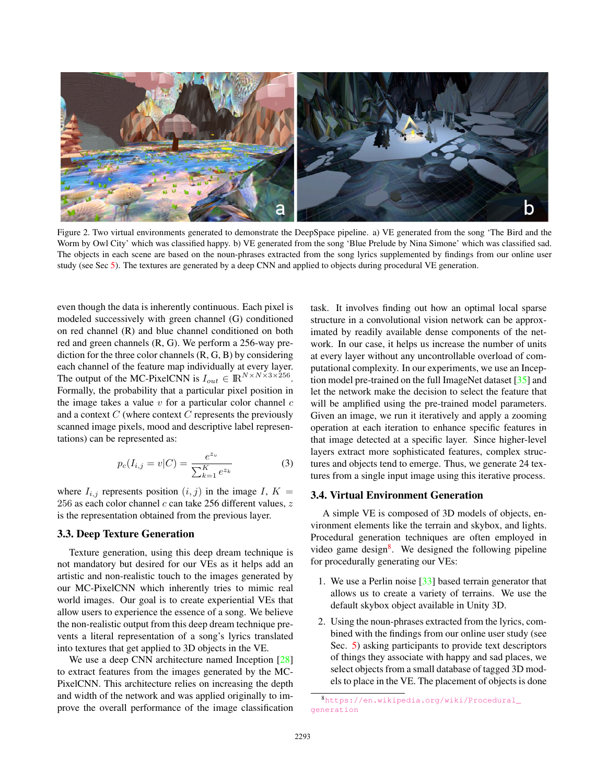

Figure 2. Two virtual environments generated to demonstrate the DeepSpace pipeline. a) VE generated from the song 'The Bird and the Worm by Owl City' which was classified happy. b) VE generated from the song 'Blue Prelude by Nina Simone' which was classified sad. The objects in each scene are based on the noun-phrases extracted from the song lyrics supplemented by findings from our online user study (see Sec 5). The textures are generated by a deep CNN and applied to objects during procedural VE generation.

even though the data is inherently continuous. Each pixel is modeled successively with green channel (G) conditioned on red channel (R) and blue channel conditioned on both red and green channels (R, G). We perform a 256-way prediction for the three color channels (R, G, B) by considering each channel of the feature map individually at every layer. The output of the MC-PixelCNN is  $I_{out} \in \mathbb{R}^{N \times N \times 3 \times 256}$ . Formally, the probability that a particular pixel position in the image takes a value  $v$  for a particular color channel  $c$ and a context  $C$  (where context  $C$  represents the previously scanned image pixels, mood and descriptive label representations) can be represented as:

$$
p_c(I_{i,j} = v|C) = \frac{e^{z_v}}{\sum_{k=1}^{K} e^{z_k}}
$$
 (3)

where  $I_{i,j}$  represents position  $(i, j)$  in the image I,  $K =$ 256 as each color channel  $c$  can take 256 different values,  $z$ is the representation obtained from the previous layer.

### 3.3. Deep Texture Generation

Texture generation, using this deep dream technique is not mandatory but desired for our VEs as it helps add an artistic and non-realistic touch to the images generated by our MC-PixelCNN which inherently tries to mimic real world images. Our goal is to create experiential VEs that allow users to experience the essence of a song. We believe the non-realistic output from this deep dream technique prevents a literal representation of a song's lyrics translated into textures that get applied to 3D objects in the VE.

We use a deep CNN architecture named Inception [28] to extract features from the images generated by the MC-PixelCNN. This architecture relies on increasing the depth and width of the network and was applied originally to improve the overall performance of the image classification

task. It involves finding out how an optimal local sparse structure in a convolutional vision network can be approximated by readily available dense components of the network. In our case, it helps us increase the number of units at every layer without any uncontrollable overload of computational complexity. In our experiments, we use an Inception model pre-trained on the full ImageNet dataset [35] and let the network make the decision to select the feature that will be amplified using the pre-trained model parameters. Given an image, we run it iteratively and apply a zooming operation at each iteration to enhance specific features in that image detected at a specific layer. Since higher-level layers extract more sophisticated features, complex structures and objects tend to emerge. Thus, we generate 24 textures from a single input image using this iterative process.

### 3.4. Virtual Environment Generation

A simple VE is composed of 3D models of objects, environment elements like the terrain and skybox, and lights. Procedural generation techniques are often employed in video game design $8$ . We designed the following pipeline for procedurally generating our VEs:

- 1. We use a Perlin noise [33] based terrain generator that allows us to create a variety of terrains. We use the default skybox object available in Unity 3D.
- 2. Using the noun-phrases extracted from the lyrics, combined with the findings from our online user study (see Sec. 5) asking participants to provide text descriptors of things they associate with happy and sad places, we select objects from a small database of tagged 3D models to place in the VE. The placement of objects is done

<sup>8</sup>https://en.wikipedia.org/wiki/Procedural\_ generation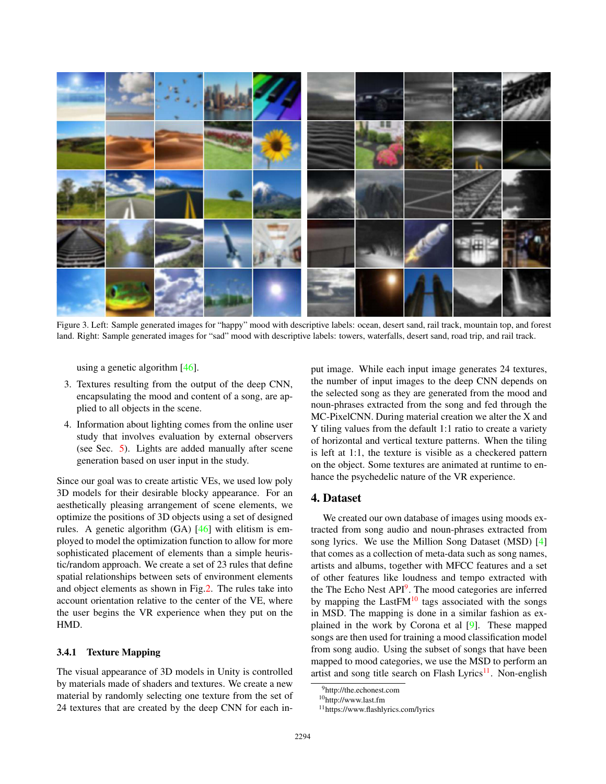

Figure 3. Left: Sample generated images for "happy" mood with descriptive labels: ocean, desert sand, rail track, mountain top, and forest land. Right: Sample generated images for "sad" mood with descriptive labels: towers, waterfalls, desert sand, road trip, and rail track.

using a genetic algorithm [46].

- 3. Textures resulting from the output of the deep CNN, encapsulating the mood and content of a song, are applied to all objects in the scene.
- 4. Information about lighting comes from the online user study that involves evaluation by external observers (see Sec. 5). Lights are added manually after scene generation based on user input in the study.

Since our goal was to create artistic VEs, we used low poly 3D models for their desirable blocky appearance. For an aesthetically pleasing arrangement of scene elements, we optimize the positions of 3D objects using a set of designed rules. A genetic algorithm  $(GA)$  [46] with elitism is employed to model the optimization function to allow for more sophisticated placement of elements than a simple heuristic/random approach. We create a set of 23 rules that define spatial relationships between sets of environment elements and object elements as shown in Fig.2. The rules take into account orientation relative to the center of the VE, where the user begins the VR experience when they put on the HMD.

### 3.4.1 Texture Mapping

The visual appearance of 3D models in Unity is controlled by materials made of shaders and textures. We create a new material by randomly selecting one texture from the set of 24 textures that are created by the deep CNN for each input image. While each input image generates 24 textures, the number of input images to the deep CNN depends on the selected song as they are generated from the mood and noun-phrases extracted from the song and fed through the MC-PixelCNN. During material creation we alter the X and Y tiling values from the default 1:1 ratio to create a variety of horizontal and vertical texture patterns. When the tiling is left at 1:1, the texture is visible as a checkered pattern on the object. Some textures are animated at runtime to enhance the psychedelic nature of the VR experience.

### 4. Dataset

We created our own database of images using moods extracted from song audio and noun-phrases extracted from song lyrics. We use the Million Song Dataset (MSD) [4] that comes as a collection of meta-data such as song names, artists and albums, together with MFCC features and a set of other features like loudness and tempo extracted with the The Echo Nest  $API<sup>9</sup>$ . The mood categories are inferred by mapping the Last $FM^{10}$  tags associated with the songs in MSD. The mapping is done in a similar fashion as explained in the work by Corona et al [9]. These mapped songs are then used for training a mood classification model from song audio. Using the subset of songs that have been mapped to mood categories, we use the MSD to perform an artist and song title search on Flash Lyrics $11$ . Non-english

<sup>&</sup>lt;sup>9</sup>http://the.echonest.com

<sup>10</sup>http://www.last.fm

<sup>11</sup>https://www.flashlyrics.com/lyrics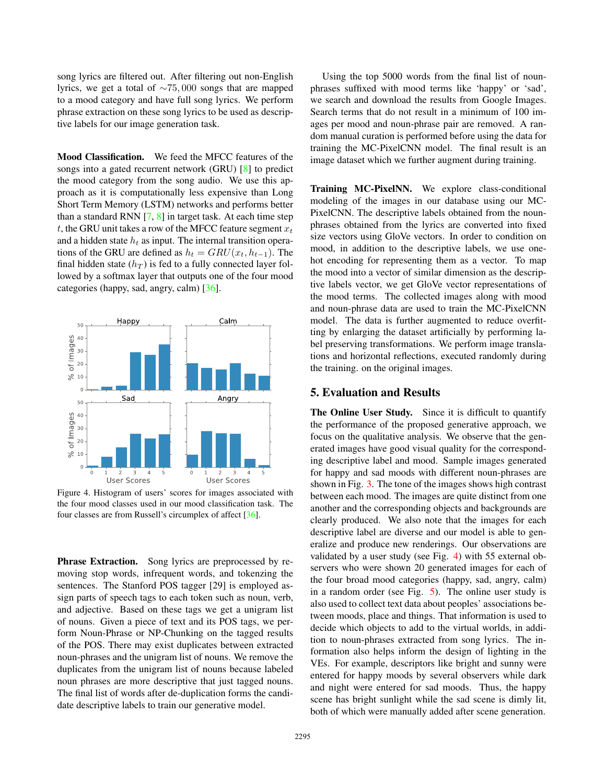song lyrics are filtered out. After filtering out non-English lyrics, we get a total of <sup>∼</sup>75, <sup>000</sup> songs that are mapped to a mood category and have full song lyrics. We perform phrase extraction on these song lyrics to be used as descriptive labels for our image generation task.

Mood Classification. We feed the MFCC features of the songs into a gated recurrent network (GRU) [8] to predict the mood category from the song audio. We use this approach as it is computationally less expensive than Long Short Term Memory (LSTM) networks and performs better than a standard RNN  $[7, 8]$  in target task. At each time step t, the GRU unit takes a row of the MFCC feature segment  $x_t$ and a hidden state  $h_t$  as input. The internal transition operations of the GRU are defined as  $h_t = GRU(x_t, h_{t-1})$ . The final hidden state  $(h_T)$  is fed to a fully connected layer followed by a softmax layer that outputs one of the four mood categories (happy, sad, angry, calm) [36].



Figure 4. Histogram of users' scores for images associated with the four mood classes used in our mood classification task. The four classes are from Russell's circumplex of affect [36].

Phrase Extraction. Song lyrics are preprocessed by removing stop words, infrequent words, and tokenzing the sentences. The Stanford POS tagger [29] is employed assign parts of speech tags to each token such as noun, verb, and adjective. Based on these tags we get a unigram list of nouns. Given a piece of text and its POS tags, we perform Noun-Phrase or NP-Chunking on the tagged results of the POS. There may exist duplicates between extracted noun-phrases and the unigram list of nouns. We remove the duplicates from the unigram list of nouns because labeled noun phrases are more descriptive that just tagged nouns. The final list of words after de-duplication forms the candidate descriptive labels to train our generative model.

Using the top 5000 words from the final list of nounphrases suffixed with mood terms like 'happy' or 'sad', we search and download the results from Google Images. Search terms that do not result in a minimum of 100 images per mood and noun-phrase pair are removed. A random manual curation is performed before using the data for training the MC-PixelCNN model. The final result is an image dataset which we further augment during training.

Training MC-PixelNN. We explore class-conditional modeling of the images in our database using our MC-PixelCNN. The descriptive labels obtained from the nounphrases obtained from the lyrics are converted into fixed size vectors using GloVe vectors. In order to condition on mood, in addition to the descriptive labels, we use onehot encoding for representing them as a vector. To map the mood into a vector of similar dimension as the descriptive labels vector, we get GloVe vector representations of the mood terms. The collected images along with mood and noun-phrase data are used to train the MC-PixelCNN model. The data is further augmented to reduce overfitting by enlarging the dataset artificially by performing label preserving transformations. We perform image translations and horizontal reflections, executed randomly during the training. on the original images.

# 5. Evaluation and Results

The Online User Study. Since it is difficult to quantify the performance of the proposed generative approach, we focus on the qualitative analysis. We observe that the generated images have good visual quality for the corresponding descriptive label and mood. Sample images generated for happy and sad moods with different noun-phrases are shown in Fig. 3. The tone of the images shows high contrast between each mood. The images are quite distinct from one another and the corresponding objects and backgrounds are clearly produced. We also note that the images for each descriptive label are diverse and our model is able to generalize and produce new renderings. Our observations are validated by a user study (see Fig. 4) with 55 external observers who were shown 20 generated images for each of the four broad mood categories (happy, sad, angry, calm) in a random order (see Fig. 5). The online user study is also used to collect text data about peoples' associations between moods, place and things. That information is used to decide which objects to add to the virtual worlds, in addition to noun-phrases extracted from song lyrics. The information also helps inform the design of lighting in the VEs. For example, descriptors like bright and sunny were entered for happy moods by several observers while dark and night were entered for sad moods. Thus, the happy scene has bright sunlight while the sad scene is dimly lit, both of which were manually added after scene generation.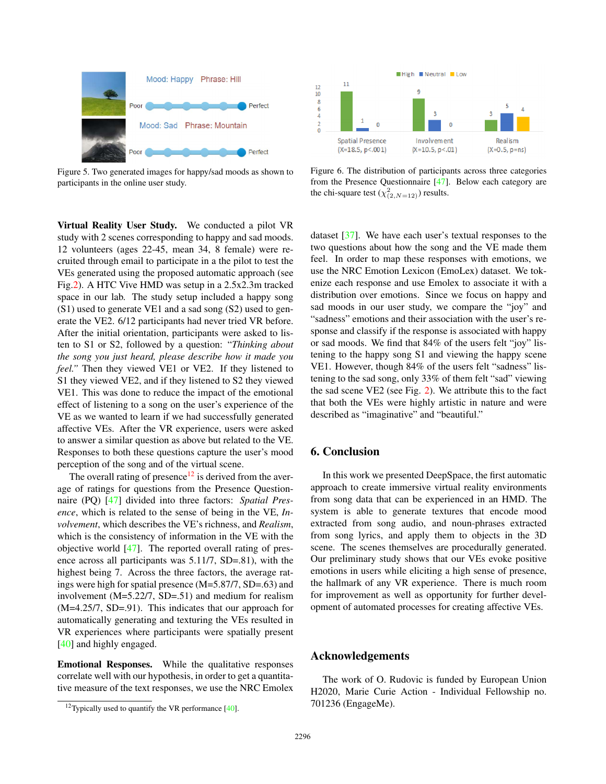

Figure 5. Two generated images for happy/sad moods as shown to participants in the online user study.



Figure 6. The distribution of participants across three categories from the Presence Questionnaire [47]. Below each category are the chi-square test  $(\chi^2_{(2,N=12)})$  results.

Virtual Reality User Study. We conducted a pilot VR study with 2 scenes corresponding to happy and sad moods. 12 volunteers (ages 22-45, mean 34, 8 female) were recruited through email to participate in a the pilot to test the VEs generated using the proposed automatic approach (see Fig.2). A HTC Vive HMD was setup in a 2.5x2.3m tracked space in our lab. The study setup included a happy song (S1) used to generate VE1 and a sad song (S2) used to generate the VE2. 6/12 participants had never tried VR before. After the initial orientation, participants were asked to listen to S1 or S2, followed by a question: "*Thinking about the song you just heard, please describe how it made you feel."* Then they viewed VE1 or VE2. If they listened to S1 they viewed VE2, and if they listened to S2 they viewed VE1. This was done to reduce the impact of the emotional effect of listening to a song on the user's experience of the VE as we wanted to learn if we had successfully generated affective VEs. After the VR experience, users were asked to answer a similar question as above but related to the VE. Responses to both these questions capture the user's mood perception of the song and of the virtual scene.

The overall rating of presence<sup>12</sup> is derived from the average of ratings for questions from the Presence Questionnaire (PQ) [47] divided into three factors: *Spatial Presence*, which is related to the sense of being in the VE, *Involvement*, which describes the VE's richness, and *Realism*, which is the consistency of information in the VE with the objective world [47]. The reported overall rating of presence across all participants was 5.11/7, SD=.81), with the highest being 7. Across the three factors, the average ratings were high for spatial presence (M=5.87/7, SD=.63) and involvement (M=5.22/7, SD=.51) and medium for realism (M=4.25/7, SD=.91). This indicates that our approach for automatically generating and texturing the VEs resulted in VR experiences where participants were spatially present [40] and highly engaged.

Emotional Responses. While the qualitative responses correlate well with our hypothesis, in order to get a quantitative measure of the text responses, we use the NRC Emolex dataset [37]. We have each user's textual responses to the two questions about how the song and the VE made them feel. In order to map these responses with emotions, we use the NRC Emotion Lexicon (EmoLex) dataset. We tokenize each response and use Emolex to associate it with a distribution over emotions. Since we focus on happy and sad moods in our user study, we compare the "joy" and "sadness" emotions and their association with the user's response and classify if the response is associated with happy or sad moods. We find that 84% of the users felt "joy" listening to the happy song S1 and viewing the happy scene VE1. However, though 84% of the users felt "sadness" listening to the sad song, only 33% of them felt "sad" viewing the sad scene VE2 (see Fig. 2). We attribute this to the fact that both the VEs were highly artistic in nature and were described as "imaginative" and "beautiful."

# 6. Conclusion

In this work we presented DeepSpace, the first automatic approach to create immersive virtual reality environments from song data that can be experienced in an HMD. The system is able to generate textures that encode mood extracted from song audio, and noun-phrases extracted from song lyrics, and apply them to objects in the 3D scene. The scenes themselves are procedurally generated. Our preliminary study shows that our VEs evoke positive emotions in users while eliciting a high sense of presence, the hallmark of any VR experience. There is much room for improvement as well as opportunity for further development of automated processes for creating affective VEs.

# Acknowledgements

The work of O. Rudovic is funded by European Union H2020, Marie Curie Action - Individual Fellowship no. 701236 (EngageMe).

<sup>&</sup>lt;sup>12</sup>Typically used to quantify the VR performance [40].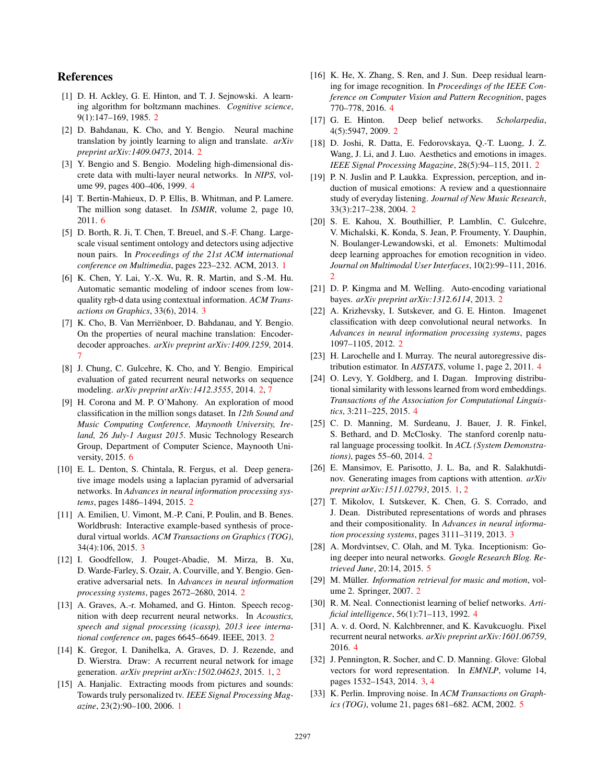# References

- [1] D. H. Ackley, G. E. Hinton, and T. J. Sejnowski. A learning algorithm for boltzmann machines. *Cognitive science*, 9(1):147–169, 1985. 2
- [2] D. Bahdanau, K. Cho, and Y. Bengio. Neural machine translation by jointly learning to align and translate. *arXiv preprint arXiv:1409.0473*, 2014. 2
- [3] Y. Bengio and S. Bengio. Modeling high-dimensional discrete data with multi-layer neural networks. In *NIPS*, volume 99, pages 400–406, 1999. 4
- [4] T. Bertin-Mahieux, D. P. Ellis, B. Whitman, and P. Lamere. The million song dataset. In *ISMIR*, volume 2, page 10, 2011. 6
- [5] D. Borth, R. Ji, T. Chen, T. Breuel, and S.-F. Chang. Largescale visual sentiment ontology and detectors using adjective noun pairs. In *Proceedings of the 21st ACM international conference on Multimedia*, pages 223–232. ACM, 2013. 1
- [6] K. Chen, Y. Lai, Y.-X. Wu, R. R. Martin, and S.-M. Hu. Automatic semantic modeling of indoor scenes from lowquality rgb-d data using contextual information. *ACM Transactions on Graphics*, 33(6), 2014. 3
- [7] K. Cho, B. Van Merriënboer, D. Bahdanau, and Y. Bengio. On the properties of neural machine translation: Encoderdecoder approaches. *arXiv preprint arXiv:1409.1259*, 2014. 7
- [8] J. Chung, C. Gulcehre, K. Cho, and Y. Bengio. Empirical evaluation of gated recurrent neural networks on sequence modeling. *arXiv preprint arXiv:1412.3555*, 2014. 2, 7
- [9] H. Corona and M. P. O'Mahony. An exploration of mood classification in the million songs dataset. In *12th Sound and Music Computing Conference, Maynooth University, Ireland, 26 July-1 August 2015*. Music Technology Research Group, Department of Computer Science, Maynooth University, 2015. 6
- [10] E. L. Denton, S. Chintala, R. Fergus, et al. Deep generative image models using a laplacian pyramid of adversarial networks. In *Advances in neural information processing systems*, pages 1486–1494, 2015. 2
- [11] A. Emilien, U. Vimont, M.-P. Cani, P. Poulin, and B. Benes. Worldbrush: Interactive example-based synthesis of procedural virtual worlds. *ACM Transactions on Graphics (TOG)*, 34(4):106, 2015. 3
- [12] I. Goodfellow, J. Pouget-Abadie, M. Mirza, B. Xu, D. Warde-Farley, S. Ozair, A. Courville, and Y. Bengio. Generative adversarial nets. In *Advances in neural information processing systems*, pages 2672–2680, 2014. 2
- [13] A. Graves, A.-r. Mohamed, and G. Hinton. Speech recognition with deep recurrent neural networks. In *Acoustics, speech and signal processing (icassp), 2013 ieee international conference on*, pages 6645–6649. IEEE, 2013. 2
- [14] K. Gregor, I. Danihelka, A. Graves, D. J. Rezende, and D. Wierstra. Draw: A recurrent neural network for image generation. *arXiv preprint arXiv:1502.04623*, 2015. 1, 2
- [15] A. Hanjalic. Extracting moods from pictures and sounds: Towards truly personalized tv. *IEEE Signal Processing Magazine*, 23(2):90–100, 2006. 1
- [16] K. He, X. Zhang, S. Ren, and J. Sun. Deep residual learning for image recognition. In *Proceedings of the IEEE Conference on Computer Vision and Pattern Recognition*, pages 770–778, 2016. 4
- [17] G. E. Hinton. Deep belief networks. *Scholarpedia*, 4(5):5947, 2009. 2
- [18] D. Joshi, R. Datta, E. Fedorovskaya, Q.-T. Luong, J. Z. Wang, J. Li, and J. Luo. Aesthetics and emotions in images. *IEEE Signal Processing Magazine*, 28(5):94–115, 2011. 2
- [19] P. N. Juslin and P. Laukka. Expression, perception, and induction of musical emotions: A review and a questionnaire study of everyday listening. *Journal of New Music Research*, 33(3):217–238, 2004. 2
- [20] S. E. Kahou, X. Bouthillier, P. Lamblin, C. Gulcehre, V. Michalski, K. Konda, S. Jean, P. Froumenty, Y. Dauphin, N. Boulanger-Lewandowski, et al. Emonets: Multimodal deep learning approaches for emotion recognition in video. *Journal on Multimodal User Interfaces*, 10(2):99–111, 2016. 2
- [21] D. P. Kingma and M. Welling. Auto-encoding variational bayes. *arXiv preprint arXiv:1312.6114*, 2013. 2
- [22] A. Krizhevsky, I. Sutskever, and G. E. Hinton. Imagenet classification with deep convolutional neural networks. In *Advances in neural information processing systems*, pages 1097–1105, 2012. 2
- [23] H. Larochelle and I. Murray. The neural autoregressive distribution estimator. In *AISTATS*, volume 1, page 2, 2011. 4
- [24] O. Levy, Y. Goldberg, and I. Dagan. Improving distributional similarity with lessons learned from word embeddings. *Transactions of the Association for Computational Linguistics*, 3:211–225, 2015. 4
- [25] C. D. Manning, M. Surdeanu, J. Bauer, J. R. Finkel, S. Bethard, and D. McClosky. The stanford corenlp natural language processing toolkit. In *ACL (System Demonstrations)*, pages 55–60, 2014. 2
- [26] E. Mansimov, E. Parisotto, J. L. Ba, and R. Salakhutdinov. Generating images from captions with attention. *arXiv preprint arXiv:1511.02793*, 2015. 1, 2
- [27] T. Mikolov, I. Sutskever, K. Chen, G. S. Corrado, and J. Dean. Distributed representations of words and phrases and their compositionality. In *Advances in neural information processing systems*, pages 3111–3119, 2013. 3
- [28] A. Mordvintsev, C. Olah, and M. Tyka. Inceptionism: Going deeper into neural networks. *Google Research Blog. Retrieved June*, 20:14, 2015. 5
- [29] M. Müller. *Information retrieval for music and motion*, volume 2. Springer, 2007. 2
- [30] R. M. Neal. Connectionist learning of belief networks. *Artificial intelligence*, 56(1):71–113, 1992. 4
- [31] A. v. d. Oord, N. Kalchbrenner, and K. Kavukcuoglu. Pixel recurrent neural networks. *arXiv preprint arXiv:1601.06759*, 2016. 4
- [32] J. Pennington, R. Socher, and C. D. Manning. Glove: Global vectors for word representation. In *EMNLP*, volume 14, pages 1532–1543, 2014. 3, 4
- [33] K. Perlin. Improving noise. In *ACM Transactions on Graphics (TOG)*, volume 21, pages 681–682. ACM, 2002. 5